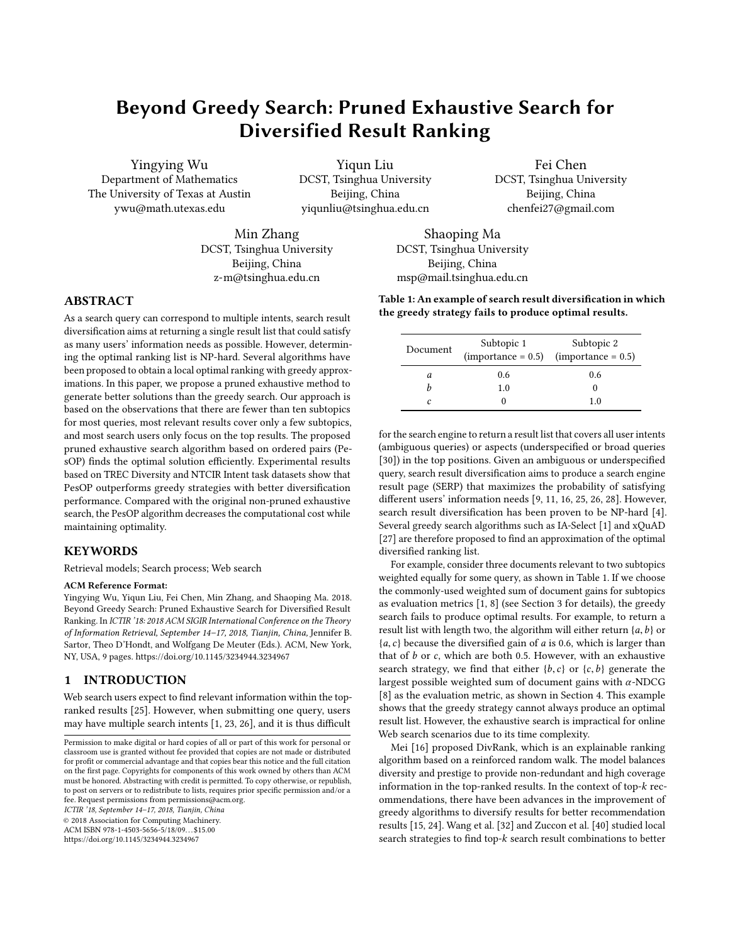# Beyond Greedy Search: Pruned Exhaustive Search for Diversified Result Ranking

Yingying Wu Department of Mathematics The University of Texas at Austin ywu@math.utexas.edu

Yiqun Liu DCST, Tsinghua University Beijing, China yiqunliu@tsinghua.edu.cn

Min Zhang DCST, Tsinghua University Beijing, China z-m@tsinghua.edu.cn

DCST, Tsinghua University Beijing, China chenfei27@gmail.com

Fei Chen

Shaoping Ma DCST, Tsinghua University Beijing, China msp@mail.tsinghua.edu.cn

Table 1: An example of search result diversification in which the greedy strategy fails to produce optimal results.

| Document | Subtopic 1 | Subtopic 2<br>$(importance = 0.5)$ $(importance = 0.5)$ |
|----------|------------|---------------------------------------------------------|
| а        | 0.6        | 0.6                                                     |
|          | 1.0        | 0                                                       |
| c        | 0          | 1.0                                                     |

for the search engine to return a result list that covers all user intents (ambiguous queries) or aspects (underspecified or broad queries [\[30\]](#page-7-4)) in the top positions. Given an ambiguous or underspecified query, search result diversification aims to produce a search engine result page (SERP) that maximizes the probability of satisfying different users' information needs [\[9,](#page-7-5) [11,](#page-7-6) [16,](#page-7-7) [25,](#page-7-0) [26,](#page-7-3) [28\]](#page-7-8). However, search result diversification has been proven to be NP-hard [\[4\]](#page-7-9). Several greedy search algorithms such as IA-Select [\[1\]](#page-7-1) and xQuAD [\[27\]](#page-7-10) are therefore proposed to find an approximation of the optimal diversified ranking list.

For example, consider three documents relevant to two subtopics weighted equally for some query, as shown in Table 1. If we choose the commonly-used weighted sum of document gains for subtopics as evaluation metrics [\[1,](#page-7-1) [8\]](#page-7-11) (see Section 3 for details), the greedy search fails to produce optimal results. For example, to return a result list with length two, the algorithm will either return  $\{a, b\}$  or  ${a, c}$  because the diversified gain of  $a$  is 0.6, which is larger than that of  $b$  or  $c$ , which are both 0.5. However, with an exhaustive search strategy, we find that either  ${b, c}$  or  ${c, b}$  generate the largest possible weighted sum of document gains with  $\alpha$ -NDCG [\[8\]](#page-7-11) as the evaluation metric, as shown in Section 4. This example shows that the greedy strategy cannot always produce an optimal result list. However, the exhaustive search is impractical for online Web search scenarios due to its time complexity.

Mei [\[16\]](#page-7-7) proposed DivRank, which is an explainable ranking algorithm based on a reinforced random walk. The model balances diversity and prestige to provide non-redundant and high coverage information in the top-ranked results. In the context of top-k recommendations, there have been advances in the improvement of greedy algorithms to diversify results for better recommendation results [\[15,](#page-7-12) [24\]](#page-7-13). Wang et al. [\[32\]](#page-7-14) and Zuccon et al. [\[40\]](#page-7-15) studied local search strategies to find top-k search result combinations to better

# ABSTRACT

As a search query can correspond to multiple intents, search result diversification aims at returning a single result list that could satisfy as many users' information needs as possible. However, determining the optimal ranking list is NP-hard. Several algorithms have been proposed to obtain a local optimal ranking with greedy approximations. In this paper, we propose a pruned exhaustive method to generate better solutions than the greedy search. Our approach is based on the observations that there are fewer than ten subtopics for most queries, most relevant results cover only a few subtopics, and most search users only focus on the top results. The proposed pruned exhaustive search algorithm based on ordered pairs (PesOP) finds the optimal solution efficiently. Experimental results based on TREC Diversity and NTCIR Intent task datasets show that PesOP outperforms greedy strategies with better diversification performance. Compared with the original non-pruned exhaustive search, the PesOP algorithm decreases the computational cost while maintaining optimality.

# **KEYWORDS**

Retrieval models; Search process; Web search

#### ACM Reference Format:

Yingying Wu, Yiqun Liu, Fei Chen, Min Zhang, and Shaoping Ma. 2018. Beyond Greedy Search: Pruned Exhaustive Search for Diversified Result Ranking. In ICTIR '18: 2018 ACM SIGIR International Conference on the Theory of Information Retrieval, September 14–17, 2018, Tianjin, China, Jennifer B. Sartor, Theo D'Hondt, and Wolfgang De Meuter (Eds.). ACM, New York, NY, USA, 9 pages.<https://doi.org/10.1145/3234944.3234967>

### 1 INTRODUCTION

Web search users expect to find relevant information within the topranked results [\[25\]](#page-7-0). However, when submitting one query, users may have multiple search intents [\[1,](#page-7-1) [23,](#page-7-2) [26\]](#page-7-3), and it is thus difficult

ICTIR '18, September 14–17, 2018, Tianjin, China

© 2018 Association for Computing Machinery.

ACM ISBN 978-1-4503-5656-5/18/09. . . \$15.00

<https://doi.org/10.1145/3234944.3234967>

Permission to make digital or hard copies of all or part of this work for personal or classroom use is granted without fee provided that copies are not made or distributed for profit or commercial advantage and that copies bear this notice and the full citation on the first page. Copyrights for components of this work owned by others than ACM must be honored. Abstracting with credit is permitted. To copy otherwise, or republish, to post on servers or to redistribute to lists, requires prior specific permission and/or a fee. Request permissions from permissions@acm.org.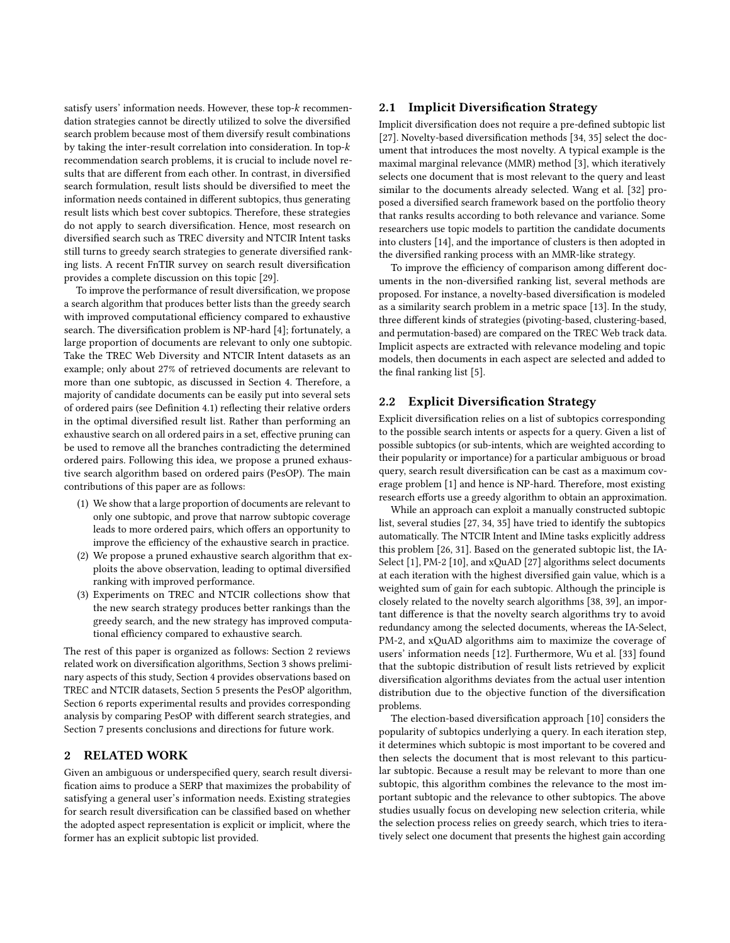satisfy users' information needs. However, these top-k recommendation strategies cannot be directly utilized to solve the diversified search problem because most of them diversify result combinations by taking the inter-result correlation into consideration. In top-k recommendation search problems, it is crucial to include novel results that are different from each other. In contrast, in diversified search formulation, result lists should be diversified to meet the information needs contained in different subtopics, thus generating result lists which best cover subtopics. Therefore, these strategies do not apply to search diversification. Hence, most research on diversified search such as TREC diversity and NTCIR Intent tasks still turns to greedy search strategies to generate diversified ranking lists. A recent FnTIR survey on search result diversification provides a complete discussion on this topic [\[29\]](#page-7-16).

To improve the performance of result diversification, we propose a search algorithm that produces better lists than the greedy search with improved computational efficiency compared to exhaustive search. The diversification problem is NP-hard [\[4\]](#page-7-9); fortunately, a large proportion of documents are relevant to only one subtopic. Take the TREC Web Diversity and NTCIR Intent datasets as an example; only about 27% of retrieved documents are relevant to more than one subtopic, as discussed in Section 4. Therefore, a majority of candidate documents can be easily put into several sets of ordered pairs (see Definition 4.1) reflecting their relative orders in the optimal diversified result list. Rather than performing an exhaustive search on all ordered pairs in a set, effective pruning can be used to remove all the branches contradicting the determined ordered pairs. Following this idea, we propose a pruned exhaustive search algorithm based on ordered pairs (PesOP). The main contributions of this paper are as follows:

- (1) We show that a large proportion of documents are relevant to only one subtopic, and prove that narrow subtopic coverage leads to more ordered pairs, which offers an opportunity to improve the efficiency of the exhaustive search in practice.
- (2) We propose a pruned exhaustive search algorithm that exploits the above observation, leading to optimal diversified ranking with improved performance.
- (3) Experiments on TREC and NTCIR collections show that the new search strategy produces better rankings than the greedy search, and the new strategy has improved computational efficiency compared to exhaustive search.

The rest of this paper is organized as follows: Section 2 reviews related work on diversification algorithms, Section 3 shows preliminary aspects of this study, Section 4 provides observations based on TREC and NTCIR datasets, Section 5 presents the PesOP algorithm, Section 6 reports experimental results and provides corresponding analysis by comparing PesOP with different search strategies, and Section 7 presents conclusions and directions for future work.

# 2 RELATED WORK

Given an ambiguous or underspecified query, search result diversification aims to produce a SERP that maximizes the probability of satisfying a general user's information needs. Existing strategies for search result diversification can be classified based on whether the adopted aspect representation is explicit or implicit, where the former has an explicit subtopic list provided.

# 2.1 Implicit Diversification Strategy

Implicit diversification does not require a pre-defined subtopic list [\[27\]](#page-7-10). Novelty-based diversification methods [\[34,](#page-7-17) [35\]](#page-7-18) select the document that introduces the most novelty. A typical example is the maximal marginal relevance (MMR) method [\[3\]](#page-7-19), which iteratively selects one document that is most relevant to the query and least similar to the documents already selected. Wang et al. [\[32\]](#page-7-14) proposed a diversified search framework based on the portfolio theory that ranks results according to both relevance and variance. Some researchers use topic models to partition the candidate documents into clusters [\[14\]](#page-7-20), and the importance of clusters is then adopted in the diversified ranking process with an MMR-like strategy.

To improve the efficiency of comparison among different documents in the non-diversified ranking list, several methods are proposed. For instance, a novelty-based diversification is modeled as a similarity search problem in a metric space [\[13\]](#page-7-21). In the study, three different kinds of strategies (pivoting-based, clustering-based, and permutation-based) are compared on the TREC Web track data. Implicit aspects are extracted with relevance modeling and topic models, then documents in each aspect are selected and added to the final ranking list [\[5\]](#page-7-22).

## 2.2 Explicit Diversification Strategy

Explicit diversification relies on a list of subtopics corresponding to the possible search intents or aspects for a query. Given a list of possible subtopics (or sub-intents, which are weighted according to their popularity or importance) for a particular ambiguous or broad query, search result diversification can be cast as a maximum coverage problem [\[1\]](#page-7-1) and hence is NP-hard. Therefore, most existing research efforts use a greedy algorithm to obtain an approximation.

While an approach can exploit a manually constructed subtopic list, several studies [\[27,](#page-7-10) [34,](#page-7-17) [35\]](#page-7-18) have tried to identify the subtopics automatically. The NTCIR Intent and IMine tasks explicitly address this problem [\[26,](#page-7-3) [31\]](#page-7-23). Based on the generated subtopic list, the IA-Select [\[1\]](#page-7-1), PM-2 [\[10\]](#page-7-24), and xQuAD [\[27\]](#page-7-10) algorithms select documents at each iteration with the highest diversified gain value, which is a weighted sum of gain for each subtopic. Although the principle is closely related to the novelty search algorithms [\[38,](#page-7-25) [39\]](#page-7-26), an important difference is that the novelty search algorithms try to avoid redundancy among the selected documents, whereas the IA-Select, PM-2, and xQuAD algorithms aim to maximize the coverage of users' information needs [\[12\]](#page-7-27). Furthermore, Wu et al. [\[33\]](#page-7-28) found that the subtopic distribution of result lists retrieved by explicit diversification algorithms deviates from the actual user intention distribution due to the objective function of the diversification problems.

The election-based diversification approach [\[10\]](#page-7-24) considers the popularity of subtopics underlying a query. In each iteration step, it determines which subtopic is most important to be covered and then selects the document that is most relevant to this particular subtopic. Because a result may be relevant to more than one subtopic, this algorithm combines the relevance to the most important subtopic and the relevance to other subtopics. The above studies usually focus on developing new selection criteria, while the selection process relies on greedy search, which tries to iteratively select one document that presents the highest gain according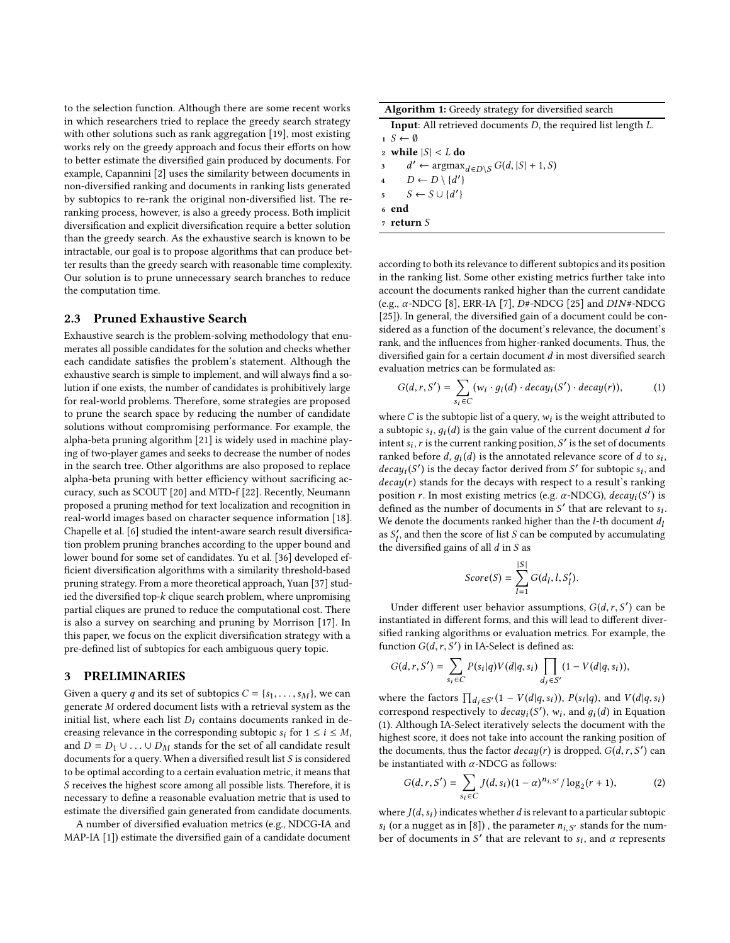to the selection function. Although there are some recent works in which researchers tried to replace the greedy search strategy with other solutions such as rank aggregation [\[19\]](#page-7-29), most existing works rely on the greedy approach and focus their efforts on how to better estimate the diversified gain produced by documents. For example, Capannini [\[2\]](#page-7-30) uses the similarity between documents in non-diversified ranking and documents in ranking lists generated by subtopics to re-rank the original non-diversified list. The reranking process, however, is also a greedy process. Both implicit diversification and explicit diversification require a better solution than the greedy search. As the exhaustive search is known to be intractable, our goal is to propose algorithms that can produce better results than the greedy search with reasonable time complexity. Our solution is to prune unnecessary search branches to reduce the computation time.

#### 2.3 Pruned Exhaustive Search

Exhaustive search is the problem-solving methodology that enumerates all possible candidates for the solution and checks whether each candidate satisfies the problem's statement. Although the exhaustive search is simple to implement, and will always find a solution if one exists, the number of candidates is prohibitively large for real-world problems. Therefore, some strategies are proposed to prune the search space by reducing the number of candidate solutions without compromising performance. For example, the alpha-beta pruning algorithm [\[21\]](#page-7-31) is widely used in machine playing of two-player games and seeks to decrease the number of nodes in the search tree. Other algorithms are also proposed to replace alpha-beta pruning with better efficiency without sacrificing accuracy, such as SCOUT [\[20\]](#page-7-32) and MTD-f [\[22\]](#page-7-33). Recently, Neumann proposed a pruning method for text localization and recognition in real-world images based on character sequence information [\[18\]](#page-7-34). Chapelle et al. [\[6\]](#page-7-35) studied the intent-aware search result diversification problem pruning branches according to the upper bound and lower bound for some set of candidates. Yu et al. [\[36\]](#page-7-36) developed efficient diversification algorithms with a similarity threshold-based pruning strategy. From a more theoretical approach, Yuan [\[37\]](#page-7-37) studied the diversified top-k clique search problem, where unpromising partial cliques are pruned to reduce the computational cost. There is also a survey on searching and pruning by Morrison [\[17\]](#page-7-38). In this paper, we focus on the explicit diversification strategy with a pre-defined list of subtopics for each ambiguous query topic.

#### 3 PRELIMINARIES

Given a query q and its set of subtopics  $C = \{s_1, \ldots, s_M\}$ , we can generate M ordered document lists with a retrieval system as the initial list, where each list  $D<sub>i</sub>$  contains documents ranked in decreasing relevance in the corresponding subtopic  $s_i$  for  $1 \le i \le M$ , and  $D = D_1 \cup \ldots \cup D_M$  stands for the set of all candidate result documents for a query. When a diversified result list S is considered to be optimal according to a certain evaluation metric, it means that S receives the highest score among all possible lists. Therefore, it is necessary to define a reasonable evaluation metric that is used to estimate the diversified gain generated from candidate documents.

A number of diversified evaluation metrics (e.g., NDCG-IA and MAP-IA [\[1\]](#page-7-1)) estimate the diversified gain of a candidate document

| <b>Input:</b> All retrieved documents $D$ , the required list length $L$ . |
|----------------------------------------------------------------------------|
| $1 S \leftarrow \emptyset$                                                 |
| 2 while $ S  < L$ do                                                       |
| 3 $d' \leftarrow \argmax_{d \in D \setminus S} G(d,  S  + 1, S)$           |
| 4 $D \leftarrow D \setminus \{d'\}\$                                       |
| $5 \quad S \leftarrow S \cup \{d'\}\$                                      |
| 6 end                                                                      |
| $7$ return $S$                                                             |
|                                                                            |

according to both its relevance to different subtopics and its position in the ranking list. Some other existing metrics further take into account the documents ranked higher than the current candidate (e.g.,  $\alpha$ -NDCG [\[8\]](#page-7-11), ERR-IA [\[7\]](#page-7-39),  $D#$ -NDCG [\[25\]](#page-7-0) and  $DIN#$ -NDCG [\[25\]](#page-7-0)). In general, the diversified gain of a document could be considered as a function of the document's relevance, the document's rank, and the influences from higher-ranked documents. Thus, the diversified gain for a certain document d in most diversified search evaluation metrics can be formulated as:

<span id="page-2-0"></span>
$$
G(d, r, S') = \sum_{s_i \in C} (w_i \cdot g_i(d) \cdot decay_i(S') \cdot decay(r)), \qquad (1)
$$

where C is the subtopic list of a query,  $w_i$  is the weight attributed to a subtopic  $\varepsilon$ ,  $a_i(d)$  is the gain value of the current document d for a subtopic  $s_i$ ,  $g_i(d)$  is the gain value of the current document d for intent  $s_i$ , is the set of documents intent  $s_i$ , r is the current ranking position, S' is the set of documents<br>ranked before d, a.(d) is the annotated relevance score of d to s. ranked before d,  $g_i(d)$  is the annotated relevance score of d to  $s_i$ ,<br>decay (S') is the decay factor derived from S' for subtonic sy and *decay<sub>i</sub>*(S') is the decay factor derived from S' for subtopic  $s_i$ , and *decay*(*r*) stands for the decays with respect to a result's ranking position *r*. In most existing metrics (e.g.  $\alpha$ -NDCC), decay(S') is ') is the decay factor derived from  $S'$  for subtopic  $s_i$ , and stands for the decays with respect to a result's rapking position r. In most existing metrics (e.g.  $\alpha$ -NDCG), decay<sub>i</sub>(S') is<br>defined as the number of documents in S' that are relevant to su defined as the number of documents in  $S'$  that are relevant to  $s_i$ .<br>We denote the documents ranked higher than the *l*-th document *d*. We denote the documents ranked higher than the  $l$ -th document  $d_l$ as  $S'_l$ , and then the score of list S can be computed by accumulating<br>the diversified gains of all d in S es the diversified gains of all  $d$  in  $S$  as

$$
Score(S) = \sum_{l=1}^{|S|} G(d_l, l, S'_l).
$$

Under different user behavior assumptions,  $G(d, r, S')$  can be tantiated in different forms, and this will lead to different diverinstantiated in different forms, and this will lead to different diversified ranking algorithms or evaluation metrics. For example, the function  $G(d, r, S')$  in IA-Select is defined as:

$$
G(d,r,S') = \sum_{s_i \in C} P(s_i|q) V(d|q,s_i) \prod_{d_j \in S'} (1 - V(d|q,s_i)),
$$

where the factors  $\prod_{d_j \in S'} (1 - V(d|q, s_i))$ ,  $P(s_i|q)$ , and  $V(d|q, s_i)$  $\frac{1}{q}$  correspond respectively to decay<sub>i</sub>(S'), w<sub>i</sub>, and  $q_i$ (d) in Equation<br>(1) Although IA-Select iteratively selects the document with the [\(1\)](#page-2-0). Although IA-Select iteratively selects the document with the highest score, it does not take into account the ranking position of the documents, thus the factor  $decay(r)$  is dropped.  $G(d, r, S')$  can<br>be instantiated with  $\alpha$ -NDCG as follows: be instantiated with  $\alpha$ -NDCG as follows:

<span id="page-2-1"></span>
$$
G(d, r, S') = \sum_{s_i \in C} J(d, s_i) (1 - \alpha)^{n_{i, S'}} / \log_2(r + 1),
$$
 (2)

where  $J(d, s_i)$  indicates whether d is relevant to a particular subtopic<br>s: (or a nugget as in [8]), the parameter  $n_i$  of stands for the num $s_i$  (or a nugget as in [\[8\]](#page-7-11)), the parameter  $n_{i,s'}$  stands for the num-<br>her of documents in  $S'$  that are relevant to signal  $\alpha$  represents ber of documents in S' that are relevant to  $s_i$ , and  $\alpha$  represents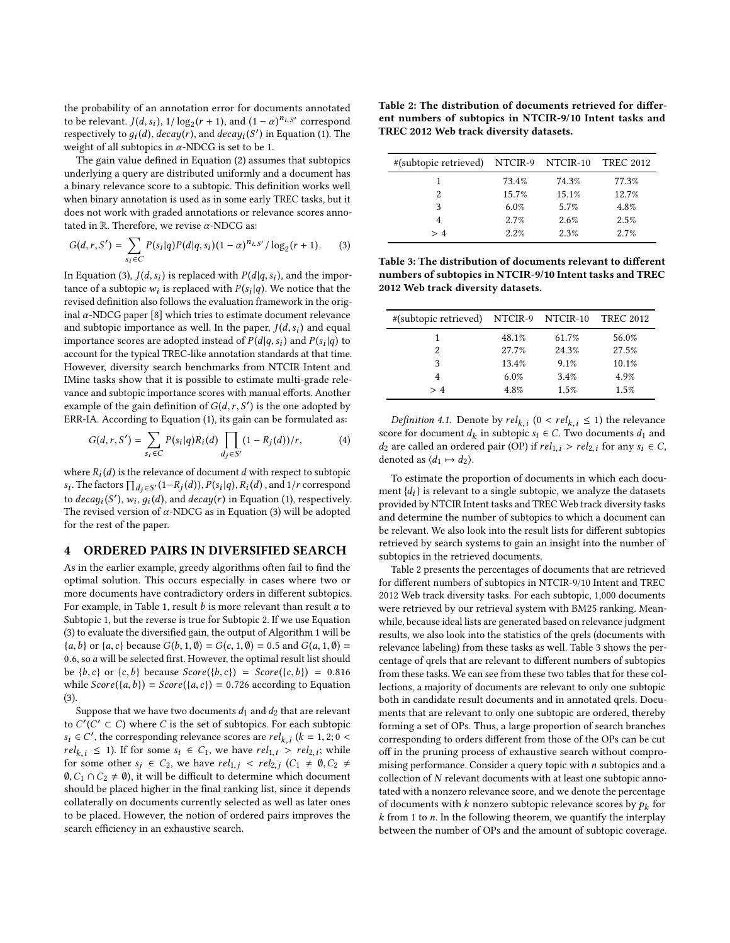the probability of an annotation error for documents annotated to be relevant.  $J(d, s_i)$ ,  $1/\log_2(r + 1)$ , and  $(1 - \alpha)^{n_i} s'$  correspond<br>respectively to  $a_i(d)$ , decay(x), and decay( $s'$ ) in Equation (1). The respectively to  $g_i(d)$ ,  $decay(r)$ , and  $decay_i(S')$  in Equation [\(1\)](#page-2-0). The weight of all subtopics in  $\alpha$ -NDCG is set to be 1.<br>The gain value defined in Equation (2) assume

The gain value defined in Equation [\(2\)](#page-2-1) assumes that subtopics underlying a query are distributed uniformly and a document has a binary relevance score to a subtopic. This definition works well when binary annotation is used as in some early TREC tasks, but it does not work with graded annotations or relevance scores annotated in  $\mathbb R$ . Therefore, we revise  $\alpha$ -NDCG as:

<span id="page-3-0"></span>
$$
G(d, r, S') = \sum_{s_i \in C} P(s_i|q)P(d|q, s_i)(1-\alpha)^{n_{i, S'}} / \log_2(r+1).
$$
 (3)

In Equation [\(3\)](#page-3-0),  $J(d, s_i)$  is replaced with  $P(d|q, s_i)$ , and the importance of a subtopic  $w_i$  is replaced with  $P(s_i|q)$ . We notice that the revised definition also follows the evaluation framework in the original revised definition also follows the evaluation framework in the original  $α$ -NDCG paper [\[8\]](#page-7-11) which tries to estimate document relevance and subtopic importance as well. In the paper,  $J(d, s_i)$  and equal importance scores are adopted instead of  $P(d|a, s_i)$  and  $P(s_i|a)$  to importance scores are adopted instead of  $P(d|q, s_i)$  and  $P(s_i|q)$  to account for the typical TREC-like annotation standards at that time account for the typical TREC-like annotation standards at that time. However, diversity search benchmarks from NTCIR Intent and IMine tasks show that it is possible to estimate multi-grade relevance and subtopic importance scores with manual efforts. Another example of the gain definition of  $G(d, r, S')$  is the one adopted by<br>ERR-IA, According to Equation (1) its gain can be formulated as: ERR-IA. According to Equation [\(1\)](#page-2-0), its gain can be formulated as:

$$
G(d, r, S') = \sum_{s_i \in C} P(s_i | q) R_i(d) \prod_{d_j \in S'} (1 - R_j(d)) / r,
$$
 (4)

where  $R_i(d)$  is the relevance of document d with respect to subtopic<br>s: The foctors  $\Pi$  :  $\alpha(1 - P_i(d))$   $P_i(c|a)$   $P_i(d)$  and 1/s correspond  $s_i$ . The factors  $\prod_{d_j \in S'} (1-R_j(d)), P(s_i|q), R_i(d)$ , and  $1/r$  correspond to  $decay_i(S')$ ,  $w_i$ ,  $g_i(d)$ , and  $decay(r)$  in Equation [\(1\)](#page-2-0), respectively.<br>The revised version of  $\alpha$ -NDCG as in Equation (3) will be adopted The revised version of  $\alpha$ -NDCG as in Equation [\(3\)](#page-3-0) will be adopted<br>for the rest of the naper for the rest of the paper.

# 4 ORDERED PAIRS IN DIVERSIFIED SEARCH

As in the earlier example, greedy algorithms often fail to find the optimal solution. This occurs especially in cases where two or more documents have contradictory orders in different subtopics. For example, in Table 1, result  $b$  is more relevant than result  $a$  to Subtopic 1, but the reverse is true for Subtopic 2. If we use Equation [\(3\)](#page-3-0) to evaluate the diversified gain, the output of Algorithm 1 will be  ${a, b}$  or  ${a, c}$  because  $G(b, 1, \emptyset) = G(c, 1, \emptyset) = 0.5$  and  $G(a, 1, \emptyset) =$ <sup>0</sup>.6, so a will be selected first. However, the optimal result list should be {*b,c*} or {*c, b*} because  $Score({b, c}) = Score({c, b}) = 0.816$ while  $Score({a, b}) = Score({a, c}) = 0.726$  according to Equation [\(3\)](#page-3-0).

Suppose that we have two documents  $d_1$  and  $d_2$  that are relevant to  $C^r(C' \subset C)$  where C is the set of subtopics. For each subtopic<br>s:  $\in C'$ , the corresponding relevance scores are rely  $(k-1, 2, 0, \leq k)$  $s_i \in C'$ , the corresponding relevance scores are  $rel_{k,i}$   $(k = 1, 2; 0 < rel_{k,i} < 1)$ . If for some  $s_i \in C_i$ , we have  $rel_{k,i} > rel_{k,i}$  while  $rel_{k,i} \leq 1$ ). If for some  $s_i \in C_1$ , we have  $rel_{k,i} > rel_{2,i}$ ; while<br>for some other  $s_i \in C_2$ , we have  $rel_{k,i} < rel_{k,i}$  ( $C_1 \neq \emptyset$ )  $C_2 \neq \emptyset$ for some other  $s_j \in C_2$ , we have  $rel_{1,j} < rel_{2,j}$   $(C_1 \neq 0, C_2 \neq 0, C_3 \in \mathbb{R})$  it will be difficult to determine which document  $\emptyset, C_1 \cap C_2 \neq \emptyset$ , it will be difficult to determine which document should be placed higher in the final ranking list, since it depends collaterally on documents currently selected as well as later ones to be placed. However, the notion of ordered pairs improves the search efficiency in an exhaustive search.

Table 2: The distribution of documents retrieved for different numbers of subtopics in NTCIR-9/10 Intent tasks and TREC 2012 Web track diversity datasets.

| 73.4% | 74.3% | 77.3%                                            |
|-------|-------|--------------------------------------------------|
| 15.7% | 15.1% | 12.7%                                            |
| 6.0%  | 5.7%  | 4.8%                                             |
| 2.7%  | 2.6%  | 2.5%                                             |
| 2.2%  | 2.3%  | 2.7%                                             |
|       |       | #(subtopic retrieved) NTCIR-9 NTCIR-10 TREC 2012 |

Table 3: The distribution of documents relevant to different numbers of subtopics in NTCIR-9/10 Intent tasks and TREC 2012 Web track diversity datasets.

|       |       | TREC 2012                              |
|-------|-------|----------------------------------------|
| 48.1% | 61.7% | 56.0%                                  |
| 27.7% | 24.3% | 27.5%                                  |
| 13.4% | 9.1%  | 10.1%                                  |
| 6.0%  | 3.4%  | 4.9%                                   |
| 4.8%  | 1.5%  | 1.5%                                   |
|       |       | #(subtopic retrieved) NTCIR-9 NTCIR-10 |

<span id="page-3-1"></span>Definition 4.1. Denote by  $rel_{k,i}$  ( $0 < rel_{k,i} \le 1$ ) the relevance<br>ore for document d, in subtonic s,  $\in C$ . Two documents d, and score for document  $d_k$  in subtopic  $s_i \in C$ . Two documents  $d_1$  and  $d_2$  are called an ordered pair (OP) if  $rel_{k+1} > rel_{k+1}$  for any  $s_i \in C$  $d_2$  are called an ordered pair (OP) if  $rel_{1,i} > rel_{2,i}$  for any  $s_i \in C$ , denoted as  $\langle d_1 \mapsto d_2 \rangle$ .

To estimate the proportion of documents in which each document  $\{d_i\}$  is relevant to a single subtopic, we analyze the datasets provided by NTCIR Intent tasks and TREC Web track diversity tasks and determine the number of subtopics to which a document can be relevant. We also look into the result lists for different subtopics retrieved by search systems to gain an insight into the number of subtopics in the retrieved documents.

Table 2 presents the percentages of documents that are retrieved for different numbers of subtopics in NTCIR-9/10 Intent and TREC 2012 Web track diversity tasks. For each subtopic, 1,000 documents were retrieved by our retrieval system with BM25 ranking. Meanwhile, because ideal lists are generated based on relevance judgment results, we also look into the statistics of the qrels (documents with relevance labeling) from these tasks as well. Table 3 shows the percentage of qrels that are relevant to different numbers of subtopics from these tasks. We can see from these two tables that for these collections, a majority of documents are relevant to only one subtopic both in candidate result documents and in annotated qrels. Documents that are relevant to only one subtopic are ordered, thereby forming a set of OPs. Thus, a large proportion of search branches corresponding to orders different from those of the OPs can be cut off in the pruning process of exhaustive search without compromising performance. Consider a query topic with  $n$  subtopics and a collection of N relevant documents with at least one subtopic annotated with a nonzero relevance score, and we denote the percentage of documents with k nonzero subtopic relevance scores by  $p_k$  for  $k$  from 1 to n. In the following theorem, we quantify the interplay  $k$  from 1 to  $n$ . In the following theorem, we quantify the interplay between the number of OPs and the amount of subtopic coverage.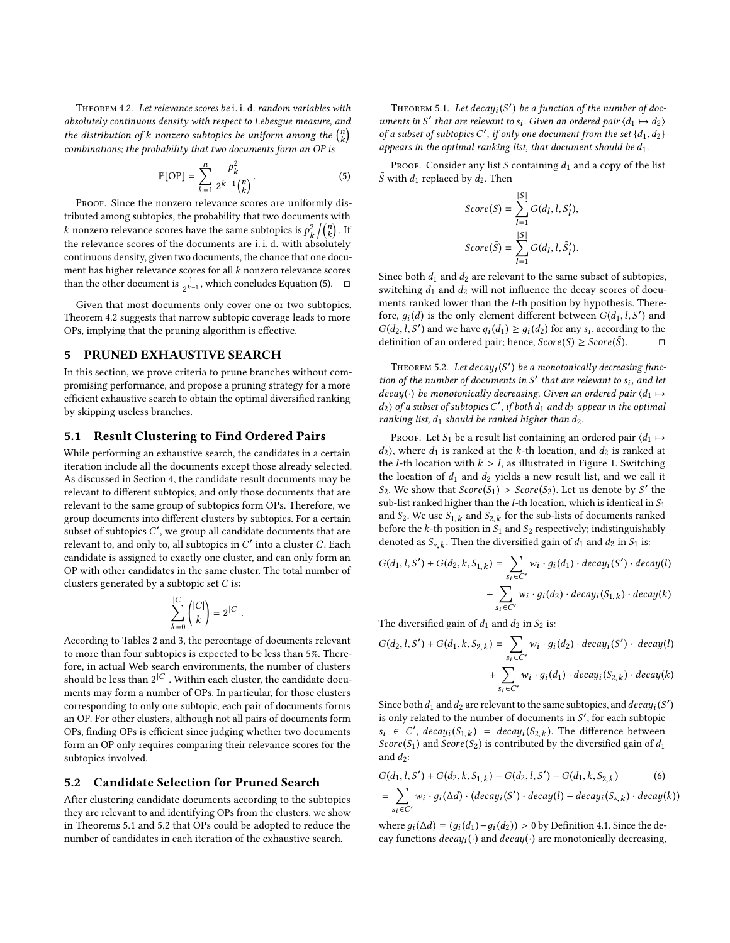<span id="page-4-1"></span>Theorem 4.2. Let relevance scores be <sup>i</sup>. <sup>i</sup>. <sup>d</sup>. random variables with absolutely continuous density with respect to Lebesgue measure, and the distribution of k nonzero subtopics be uniform among the  $\binom{n}{k}$ <br>combinations: the probability that two documents form an OP is combinations; the probability that two documents form an OP is

$$
\mathbb{P}[\text{OP}] = \sum_{k=1}^{n} \frac{p_k^2}{2^{k-1} {n \choose k}}.
$$
 (5)

PROOF. Since the nonzero relevance scores are uniformly distributed among subtopics, the probability that two documents with k nonzero relevance scores have the same subtopics is  $p_k^2$ <br>the relevance scores of the documents are i i d, with ab  $\frac{2}{k}\bigg/\binom{n}{k}$  . If the relevance scores of the documents are <sup>i</sup>. <sup>i</sup>. <sup>d</sup>. with absolutely continuous density, given two documents, the chance that one document has higher relevance scores for all k nonzero relevance scores than the other document is  $\frac{1}{2^{k-1}}$ , which concludes Equation [\(5\)](#page-4-0).  $\Box$ 

Given that most documents only cover one or two subtopics, Theorem [4.2](#page-4-1) suggests that narrow subtopic coverage leads to more OPs, implying that the pruning algorithm is effective.

### 5 PRUNED EXHAUSTIVE SEARCH

In this section, we prove criteria to prune branches without compromising performance, and propose a pruning strategy for a more efficient exhaustive search to obtain the optimal diversified ranking by skipping useless branches.

#### 5.1 Result Clustering to Find Ordered Pairs

While performing an exhaustive search, the candidates in a certain iteration include all the documents except those already selected. As discussed in Section 4, the candidate result documents may be relevant to different subtopics, and only those documents that are relevant to the same group of subtopics form OPs. Therefore, we group documents into different clusters by subtopics. For a certain subset of subtopics  $C'$ , we group all candidate documents that are<br>relevant to and only to all subtopics in  $C'$  into a cluster  $C$ . Each relevant to, and only to, all subtopics in  $C'$  into a cluster  $C$ . Each candidate is assigned to exactly one cluster and can only form an candidate is assigned to exactly one cluster, and can only form an OP with other candidates in the same cluster. The total number of clusters generated by a subtopic set C is:

$$
\sum_{k=0}^{|C|}\binom{|C|}{k}=2^{|C|}
$$

According to Tables 2 and 3, the percentage of documents relevant to more than four subtopics is expected to be less than 5%. Therefore, in actual Web search environments, the number of clusters should be less than  $2^{|C|}$ . Within each cluster, the candidate documents may form a number of OPs. In particular, for those clusters corresponding to only one subtopic, each pair of documents forms an OP. For other clusters, although not all pairs of documents form OPs, finding OPs is efficient since judging whether two documents form an OP only requires comparing their relevance scores for the subtopics involved.

#### 5.2 Candidate Selection for Pruned Search

After clustering candidate documents according to the subtopics they are relevant to and identifying OPs from the clusters, we show in Theorems [5.1](#page-4-2) and [5.2](#page-4-3) that OPs could be adopted to reduce the number of candidates in each iteration of the exhaustive search.

<span id="page-4-2"></span>THEOREM 5.1. Let  $decay(S')$  be a function of the number of doc-<br>nents in S' that are relevant to s. Given an ordered pair  $(d_1 \rightarrow d_2)$ uments in S' that are relevant to  $s_i$ . Given an ordered pair  $\langle d_1 \mapsto d_2 \rangle$ <br>of a subset of subtonics C' if only one document from the set  $\{d_1, d_2\}$ of a subset of subtopics C', if only one document from the set  $\{d_1, d_2\}$ <br>appears in the optimal ranking list, that document should be d. appears in the optimal ranking list, that document should be  $d_1$ .

<span id="page-4-0"></span>PROOF. Consider any list S containing  $d_1$  and a copy of the list  $\tilde{S}$  with  $d_1$  replaced by  $d_2$ . Then

$$
Score(S) = \sum_{l=1}^{|S|} G(d_l, l, S'_l),
$$
  

$$
Score(\tilde{S}) = \sum_{l=1}^{|S|} G(d_l, l, \tilde{S}'_l).
$$

Since both  $d_1$  and  $d_2$  are relevant to the same subset of subtopics, switching  $d_1$  and  $d_2$  will not influence the decay scores of documents ranked lower than the l-th position by hypothesis. Therefore,  $g_i(d)$  is the only element different between  $G(d_1, l, S')$  and  $G(d_2, l, S')$  and we have  $g_i(d_1) \geq g_i(d_2)$  for any s: according to the  $G(d_2, l, S')$  and we have  $g_i(d_1) \geq g_i(d_2)$  for any  $s_i$ , according to the definition of an ordered pair; hence  $Score(S) > Score(S)$ definition of an ordered pair; hence,  $Score(S) \geq Score(\bar{S})$ . ). □

<span id="page-4-3"></span>THEOREM 5.2. Let  $decay_i(S')$  be a monotonically decreasing func-<br>n of the number of documents in  $S'$  that are relevant to sy and let tion of the number of documents in S' that are relevant to  $s_i$ , and let  $deccu(x)$  be monotonically decreasing. Given an ordered nair  $\langle d, \square \rangle$  $decay(\cdot)$  be monotonically decreasing. Given an ordered pair  $\langle d_1 \mapsto$  $d_2$ ) of a subset of subtopics C', if both  $d_1$  and  $d_2$  appear in the optimal<br>ranking list  $d_2$  should be ranked higher than  $d_2$ ranking list,  $d_1$  should be ranked higher than  $d_2$ .

PROOF. Let S<sub>1</sub> be a result list containing an ordered pair  $\langle d_1 \mapsto$  $d_2$ ), where  $d_1$  is ranked at the k-th location, and  $d_2$  is ranked at the *l*-th location with  $k > l$ , as illustrated in Figure [1.](#page-5-0) Switching the location of  $d_1$  and  $d_2$  yields a new result list, and we call it  $S_2$ . We show that  $Score(S_1) > Score(S_2)$ . Let us denote by S' the sub-list ranked bigher than the L-th location which is identical in S. sub-list ranked higher than the  $l$ -th location, which is identical in  $S_1$ and  $S_2$ . We use  $S_{1,k}$  and  $S_{2,k}$  for the sub-lists of documents ranked<br>before the k-th position in S<sub>2</sub> and S<sub>2</sub> respectively; indistinguishably before the  $k$ -th position in  $S_1$  and  $S_2$  respectively; indistinguishably denoted as  $S_{*,k}$ . Then the diversified gain of  $d_1$  and  $d_2$  in  $S_1$  is:

$$
G(d_1, l, S') + G(d_2, k, S_{1,k}) = \sum_{s_i \in C'} w_i \cdot g_i(d_1) \cdot decay_i(S') \cdot decay(l)
$$
  
+ 
$$
\sum_{s_i \in C'} w_i \cdot g_i(d_2) \cdot decay_i(S_{1,k}) \cdot decay(k)
$$

The diversified gain of  $d_1$  and  $d_2$  in  $S_2$  is:

$$
G(d_2, l, S') + G(d_1, k, S_{2,k}) = \sum_{s_i \in C'} w_i \cdot g_i(d_2) \cdot decay_i(S') \cdot decay(l)
$$
  
+ 
$$
\sum_{s_i \in C'} w_i \cdot g_i(d_1) \cdot decay_i(S_{2,k}) \cdot decay(k)
$$

Since both  $d_1$  and  $d_2$  are relevant to the same subtopics, and  $decay_i(S')$ <br>is only related to the number of documents in  $S'$  for each subtopic is only related to the number of documents in *S'*, for each subtopic<br>  $\mathcal{S} \in \mathcal{S}'$  decay  $(S, \cdot) = decay(S, \cdot)$ . The difference between  $\overline{\phantom{a}}$  $s_i \in C'$ ,  $decay_i(S_{1,k}) = decay_i(S_{2,k})$ . The difference between<br>Score(S) and Score(So) is contributed by the diversified gain of d. Score(S<sub>1</sub>) and Score(S<sub>2</sub>) is contributed by the diversified gain of  $d_1$ and  $d_2$ :

$$
G(d_1, l, S') + G(d_2, k, S_{1,k}) - G(d_2, l, S') - G(d_1, k, S_{2,k})
$$
\n(6)

<span id="page-4-4"></span>
$$
= \sum_{s_i \in C'} w_i \cdot g_i(\Delta d) \cdot (decay_i(S') \cdot decay(l) - decay_i(S_{*,k}) \cdot decay(k))
$$

where  $g_i(\Delta d) = (g_i(d_1) - g_i(d_2)) > 0$  by Definition [4.1.](#page-3-1) Since the de-<br>cay functions  $deau(i)$  and  $deau(i)$  are monotonically decreasing cay functions  $decay_i(\cdot)$  and  $decay(\cdot)$  are monotonically decreasing,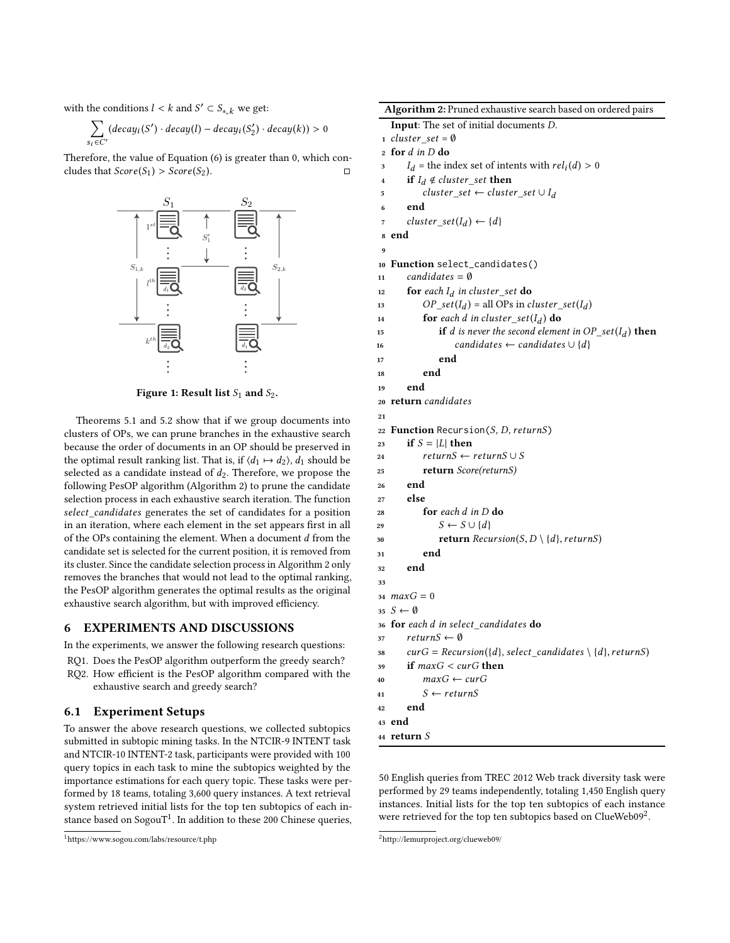with the conditions  $l < k$  and  $S' \subset S_{*,k}$  we get:

$$
\sum_{s_i \in C'} (decay_i(S') \cdot decay(l) - decay_i(S'_2) \cdot decay(k)) > 0
$$

<span id="page-5-0"></span>Therefore, the value of Equation [\(6\)](#page-4-4) is greater than 0, which concludes that  $Score(S_1) > Score(S_2)$ .



Figure 1: Result list  $S_1$  and  $S_2$ .

Theorems [5.1](#page-4-2) and [5.2](#page-4-3) show that if we group documents into clusters of OPs, we can prune branches in the exhaustive search because the order of documents in an OP should be preserved in the optimal result ranking list. That is, if  $\langle d_1 \mapsto d_2 \rangle$ ,  $d_1$  should be selected as a candidate instead of  $d_2$ . Therefore, we propose the following PesOP algorithm (Algorithm 2) to prune the candidate selection process in each exhaustive search iteration. The function select\_candidates generates the set of candidates for a position in an iteration, where each element in the set appears first in all of the OPs containing the element. When a document d from the candidate set is selected for the current position, it is removed from its cluster. Since the candidate selection process in Algorithm 2 only removes the branches that would not lead to the optimal ranking, the PesOP algorithm generates the optimal results as the original exhaustive search algorithm, but with improved efficiency.

## 6 EXPERIMENTS AND DISCUSSIONS

In the experiments, we answer the following research questions:

RQ1. Does the PesOP algorithm outperform the greedy search? RQ2. How efficient is the PesOP algorithm compared with the exhaustive search and greedy search?

### 6.1 Experiment Setups

To answer the above research questions, we collected subtopics submitted in subtopic mining tasks. In the NTCIR-9 INTENT task and NTCIR-10 INTENT-2 task, participants were provided with 100 query topics in each task to mine the subtopics weighted by the importance estimations for each query topic. These tasks were performed by 18 teams, totaling 3,600 query instances. A text retrieval system retrieved initial lists for the top ten subtopics of each in- $\frac{1}{2}$  $\frac{1}{2}$  $\frac{1}{2}$  stance based on SogouT<sup>1</sup>. In addition to these 200 Chinese queries,

```
1https://www.sogou.com/labs/resource/t.php
```

| Algorithm 2: Pruned exhaustive search based on ordered pairs |
|--------------------------------------------------------------|
|--------------------------------------------------------------|

|                | Algoritmm 2. Fruncu exhaustive search based on ordered pairs                                   |
|----------------|------------------------------------------------------------------------------------------------|
|                | Input: The set of initial documents D.                                                         |
|                | $1 \; cluster\_set = \emptyset$                                                                |
| $\overline{2}$ | for $d$ in D do                                                                                |
| 3              | $I_d$ = the index set of intents with $rel_i(d) > 0$                                           |
| 4              | if $I_d \notin cluster\_set$ then                                                              |
| 5              | cluster_set $\leftarrow$ cluster_set $\cup I_d$                                                |
| 6              | end                                                                                            |
| 7              | cluster_set( $I_d$ ) $\leftarrow$ {d}                                                          |
| 8              | end                                                                                            |
| 9              |                                                                                                |
| 10             | Function select_candidates()                                                                   |
| 11             | $candidates = \emptyset$                                                                       |
| 12             | for each $I_d$ in cluster_set do                                                               |
| 13             | $OP\_set(I_d)$ = all OPs in cluster_set(I <sub>d</sub> )                                       |
| 14             | <b>for</b> each d in cluster_set( $I_d$ ) <b>do</b>                                            |
| 15             | if d is never the second element in $OP\_set(I_d)$ then                                        |
| 16             | candidates $\leftarrow$ candidates $\cup \{d\}$                                                |
| 17             | end                                                                                            |
| 18             | end                                                                                            |
| 19             | end                                                                                            |
| 20             | return candidates                                                                              |
| 21             |                                                                                                |
| 22             | <b>Function</b> Recursion $(S, D, returnS)$                                                    |
| 23             | if $S =  L $ then                                                                              |
| 24             | $returns \leftarrow returns \cup S$                                                            |
| 25             | <b>return</b> Score(returnS)                                                                   |
| 26             | end                                                                                            |
| 27             | else                                                                                           |
| 28             | $\mathop{\bf for}\, each\, d\,$ in $D$ $\bf do$                                                |
| 29             | $S \leftarrow S \cup \{d\}$                                                                    |
| 30             | <b>return</b> $Recursion(S, D \setminus \{d\}, returns)$                                       |
| 31             | end                                                                                            |
| 32             | end                                                                                            |
| 33             |                                                                                                |
|                | 34 $maxG = 0$                                                                                  |
|                | 35 $S \leftarrow \emptyset$                                                                    |
|                | 36 for each d in select_candidates do                                                          |
| 37             | return $S \leftarrow \emptyset$                                                                |
| 38             | $curG = Recursion(\lbrace d \rbrace, select\_candidates \setminus \lbrace d \rbrace, returns)$ |
| 39             | if $maxG < curG$ then                                                                          |
| 40             | $maxG \leftarrow curG$                                                                         |
| 41             | $S \leftarrow returnS$                                                                         |
| 42             | end                                                                                            |
| 43             | end                                                                                            |
|                | 44 return $S$                                                                                  |

50 English queries from TREC 2012 Web track diversity task were performed by 29 teams independently, totaling 1,450 English query instances. Initial lists for the top ten subtopics of each instance were retrieved for the top ten subtopics based on ClueWeb09[2](#page-5-2) .

<span id="page-5-2"></span><sup>2</sup><http://lemurproject.org/clueweb09/>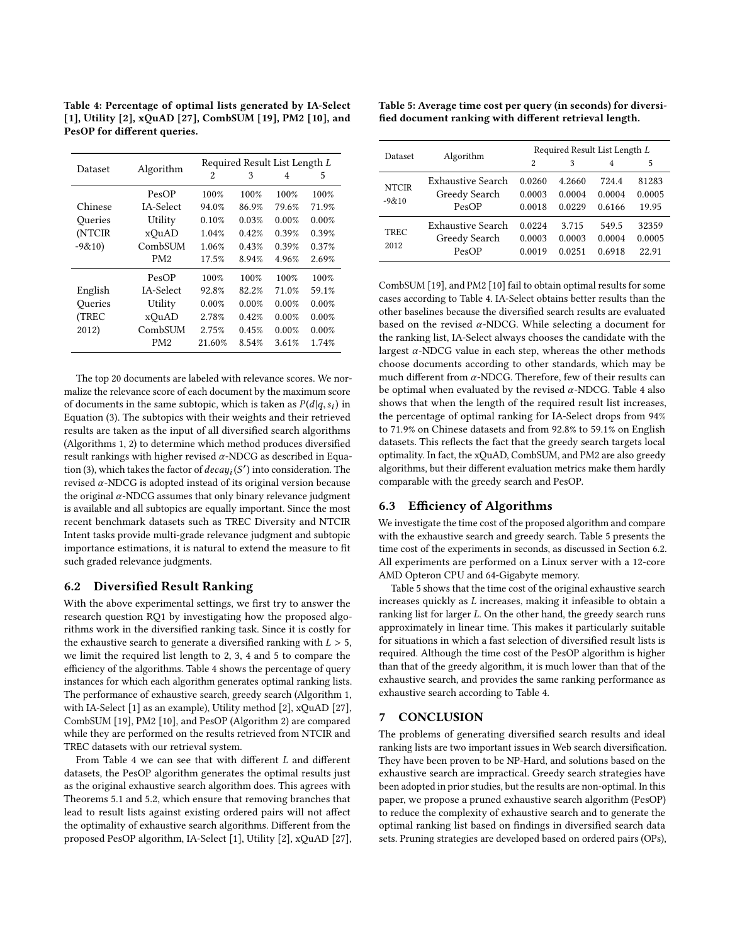Table 4: Percentage of optimal lists generated by IA-Select [\[1\]](#page-7-1), Utility [\[2\]](#page-7-30), xQuAD [\[27\]](#page-7-10), CombSUM [\[19\]](#page-7-29), PM2 [\[10\]](#page-7-24), and PesOP for different queries.

| Dataset  |                 | Required Result List Length L |       |       |       |
|----------|-----------------|-------------------------------|-------|-------|-------|
|          | Algorithm       | 2                             | 3     | 4     | 5     |
|          | PesOP           | 100%                          | 100%  | 100%  | 100%  |
| Chinese  | IA-Select       | 94.0%                         | 86.9% | 79.6% | 71.9% |
| Oueries  | Utility         | 0.10%                         | 0.03% | 0.00% | 0.00% |
| (NTCIR   | xQuAD           | 1.04%                         | 0.42% | 0.39% | 0.39% |
| $-9&10)$ | CombSUM         | 1.06%                         | 0.43% | 0.39% | 0.37% |
|          | PM <sub>2</sub> | 17.5%                         | 8.94% | 4.96% | 2.69% |
|          | PesOP           | 100%                          | 100%  | 100%  | 100%  |
| English  | IA-Select       | 92.8%                         | 82.2% | 71.0% | 59.1% |
| Oueries  | Utility         | 0.00%                         | 0.00% | 0.00% | 0.00% |
| (TREC    | xOuAD           | 2.78%                         | 0.42% | 0.00% | 0.00% |
| 2012)    | CombSUM         | 2.75%                         | 0.45% | 0.00% | 0.00% |
|          | PM <sub>2</sub> | 21.60%                        | 8.54% | 3.61% | 1.74% |

The top 20 documents are labeled with relevance scores. We normalize the relevance score of each document by the maximum score of documents in the same subtopic, which is taken as  $P(d|q, s_i)$  in<br>Equation (3) The subtopics with their weights and their retrieved Equation [\(3\)](#page-3-0). The subtopics with their weights and their retrieved results are taken as the input of all diversified search algorithms (Algorithms 1, 2) to determine which method produces diversified result rankings with higher revised  $\alpha$ -NDCG as described in Equa-tion [\(3\)](#page-3-0), which takes the factor of  $decay_i(S')$  into consideration. The revised  $\alpha$ -NDCG is adopted instead of its original version because  $r$ evised  $\alpha$ -NDCG is adopted instead of its original version because<br>the original  $\alpha$ -NDCG assumes that only binary relevance independent the original  $\alpha$ -NDCG assumes that only binary relevance judgment is available and all subtopics are equally important. Since the most recent benchmark datasets such as TREC Diversity and NTCIR Intent tasks provide multi-grade relevance judgment and subtopic importance estimations, it is natural to extend the measure to fit such graded relevance judgments.

## 6.2 Diversified Result Ranking

With the above experimental settings, we first try to answer the research question RQ1 by investigating how the proposed algorithms work in the diversified ranking task. Since it is costly for the exhaustive search to generate a diversified ranking with  $L > 5$ , we limit the required list length to 2, 3, 4 and 5 to compare the efficiency of the algorithms. Table 4 shows the percentage of query instances for which each algorithm generates optimal ranking lists. The performance of exhaustive search, greedy search (Algorithm 1, with IA-Select [\[1\]](#page-7-1) as an example), Utility method [\[2\]](#page-7-30), xQuAD [\[27\]](#page-7-10), CombSUM [\[19\]](#page-7-29), PM2 [\[10\]](#page-7-24), and PesOP (Algorithm 2) are compared while they are performed on the results retrieved from NTCIR and TREC datasets with our retrieval system.

From Table 4 we can see that with different L and different datasets, the PesOP algorithm generates the optimal results just as the original exhaustive search algorithm does. This agrees with Theorems [5.1](#page-4-2) and [5.2,](#page-4-3) which ensure that removing branches that lead to result lists against existing ordered pairs will not affect the optimality of exhaustive search algorithms. Different from the proposed PesOP algorithm, IA-Select [\[1\]](#page-7-1), Utility [\[2\]](#page-7-30), xQuAD [\[27\]](#page-7-10),

| Table 5: Average time cost per query (in seconds) for diversi- |  |
|----------------------------------------------------------------|--|
| fied document ranking with different retrieval length.         |  |

| Dataset                   | Algorithm                                   | Required Result List Length L |                            |                           |                          |
|---------------------------|---------------------------------------------|-------------------------------|----------------------------|---------------------------|--------------------------|
|                           |                                             | 2                             | 3                          | 4                         | 5                        |
| <b>NTCIR</b><br>$-9 & 10$ | Exhaustive Search<br>Greedy Search<br>PesOP | 0.0260<br>0.0003<br>0.0018    | 4.2660<br>0.0004<br>0.0229 | 724.4<br>0.0004<br>0.6166 | 81283<br>0.0005<br>19.95 |
| TREC<br>2012              | Exhaustive Search<br>Greedy Search<br>PesOP | 0.0224<br>0.0003<br>0.0019    | 3.715<br>0.0003<br>0.0251  | 549.5<br>0.0004<br>0.6918 | 32359<br>0.0005<br>22.91 |

CombSUM [\[19\]](#page-7-29), and PM2 [\[10\]](#page-7-24) fail to obtain optimal results for some cases according to Table 4. IA-Select obtains better results than the other baselines because the diversified search results are evaluated based on the revised  $\alpha$ -NDCG. While selecting a document for the ranking list, IA-Select always chooses the candidate with the largest  $\alpha$ -NDCG value in each step, whereas the other methods choose documents according to other standards, which may be much different from  $\alpha$ -NDCG. Therefore, few of their results can be optimal when evaluated by the revised  $\alpha$ -NDCG. Table 4 also shows that when the length of the required result list increases, the percentage of optimal ranking for IA-Select drops from 94% to 71.9% on Chinese datasets and from 92.8% to 59.1% on English datasets. This reflects the fact that the greedy search targets local optimality. In fact, the xQuAD, CombSUM, and PM2 are also greedy algorithms, but their different evaluation metrics make them hardly comparable with the greedy search and PesOP.

#### 6.3 Efficiency of Algorithms

We investigate the time cost of the proposed algorithm and compare with the exhaustive search and greedy search. Table 5 presents the time cost of the experiments in seconds, as discussed in Section 6.2. All experiments are performed on a Linux server with a 12-core AMD Opteron CPU and 64-Gigabyte memory.

Table 5 shows that the time cost of the original exhaustive search increases quickly as L increases, making it infeasible to obtain a ranking list for larger L. On the other hand, the greedy search runs approximately in linear time. This makes it particularly suitable for situations in which a fast selection of diversified result lists is required. Although the time cost of the PesOP algorithm is higher than that of the greedy algorithm, it is much lower than that of the exhaustive search, and provides the same ranking performance as exhaustive search according to Table 4.

#### 7 CONCLUSION

The problems of generating diversified search results and ideal ranking lists are two important issues in Web search diversification. They have been proven to be NP-Hard, and solutions based on the exhaustive search are impractical. Greedy search strategies have been adopted in prior studies, but the results are non-optimal. In this paper, we propose a pruned exhaustive search algorithm (PesOP) to reduce the complexity of exhaustive search and to generate the optimal ranking list based on findings in diversified search data sets. Pruning strategies are developed based on ordered pairs (OPs),